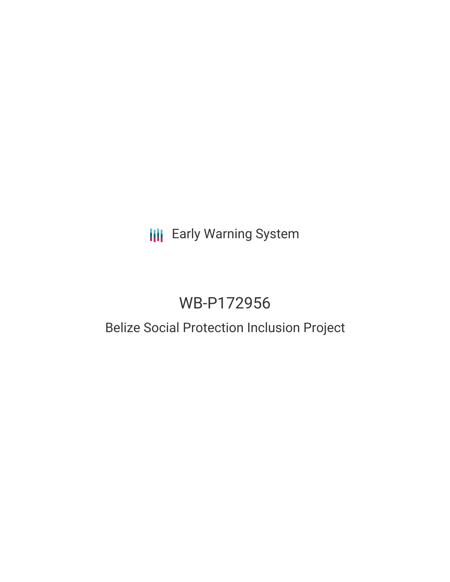## **III** Early Warning System

# WB-P172956

## Belize Social Protection Inclusion Project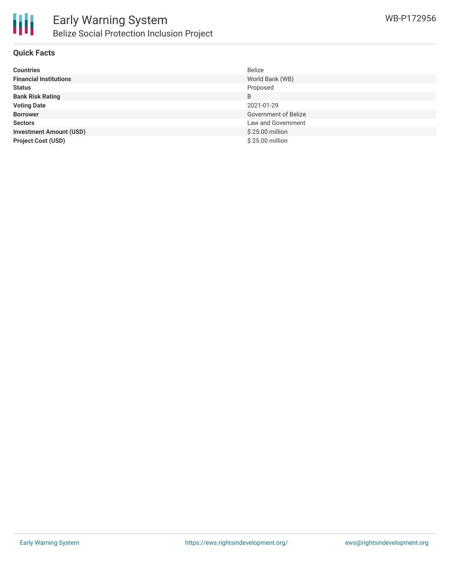

#### **Quick Facts**

| <b>Countries</b>               | <b>Belize</b>        |
|--------------------------------|----------------------|
| <b>Financial Institutions</b>  | World Bank (WB)      |
| <b>Status</b>                  | Proposed             |
| <b>Bank Risk Rating</b>        | B                    |
| <b>Voting Date</b>             | 2021-01-29           |
| <b>Borrower</b>                | Government of Belize |
| <b>Sectors</b>                 | Law and Government   |
| <b>Investment Amount (USD)</b> | \$25.00 million      |
| <b>Project Cost (USD)</b>      | \$25.00 million      |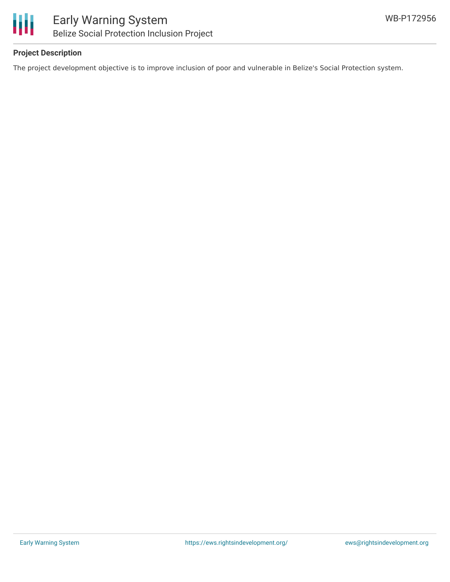

#### **Project Description**

The project development objective is to improve inclusion of poor and vulnerable in Belize's Social Protection system.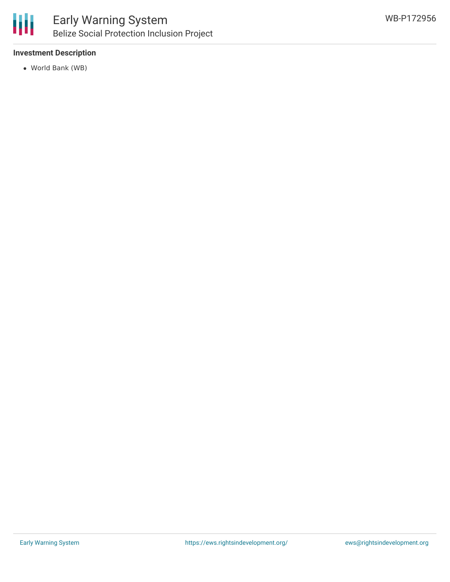

### Early Warning System Belize Social Protection Inclusion Project

#### **Investment Description**

World Bank (WB)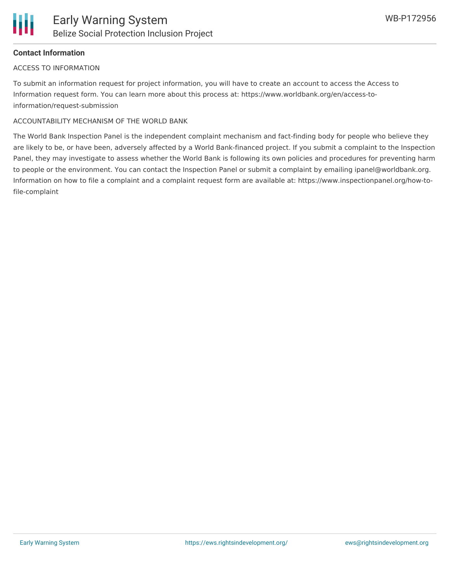#### **Contact Information**

#### ACCESS TO INFORMATION

To submit an information request for project information, you will have to create an account to access the Access to Information request form. You can learn more about this process at: https://www.worldbank.org/en/access-toinformation/request-submission

#### ACCOUNTABILITY MECHANISM OF THE WORLD BANK

The World Bank Inspection Panel is the independent complaint mechanism and fact-finding body for people who believe they are likely to be, or have been, adversely affected by a World Bank-financed project. If you submit a complaint to the Inspection Panel, they may investigate to assess whether the World Bank is following its own policies and procedures for preventing harm to people or the environment. You can contact the Inspection Panel or submit a complaint by emailing ipanel@worldbank.org. Information on how to file a complaint and a complaint request form are available at: https://www.inspectionpanel.org/how-tofile-complaint